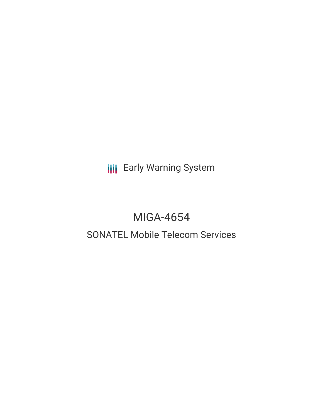**III** Early Warning System

# MIGA-4654

# SONATEL Mobile Telecom Services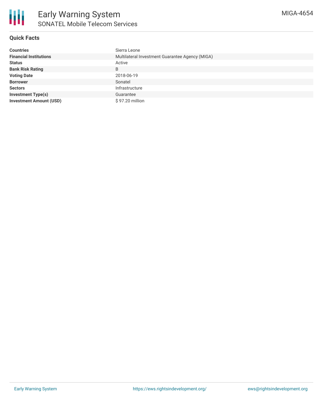## **Quick Facts**

| <b>Countries</b>               | Sierra Leone                                    |
|--------------------------------|-------------------------------------------------|
| <b>Financial Institutions</b>  | Multilateral Investment Guarantee Agency (MIGA) |
| <b>Status</b>                  | Active                                          |
| <b>Bank Risk Rating</b>        | B                                               |
| <b>Voting Date</b>             | 2018-06-19                                      |
| <b>Borrower</b>                | Sonatel                                         |
| <b>Sectors</b>                 | Infrastructure                                  |
| <b>Investment Type(s)</b>      | Guarantee                                       |
| <b>Investment Amount (USD)</b> | \$97.20 million                                 |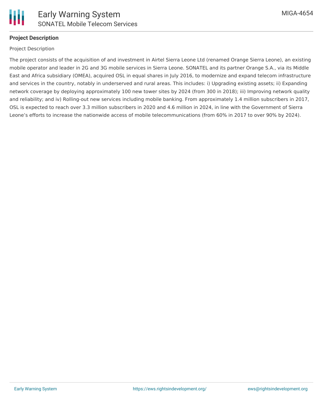

# **Project Description**

#### Project Description

The project consists of the acquisition of and investment in Airtel Sierra Leone Ltd (renamed Orange Sierra Leone), an existing mobile operator and leader in 2G and 3G mobile services in Sierra Leone. SONATEL and its partner Orange S.A., via its Middle East and Africa subsidiary (OMEA), acquired OSL in equal shares in July 2016, to modernize and expand telecom infrastructure and services in the country, notably in underserved and rural areas. This includes: i) Upgrading existing assets; ii) Expanding network coverage by deploying approximately 100 new tower sites by 2024 (from 300 in 2018); iii) Improving network quality and reliability; and iv) Rolling-out new services including mobile banking. From approximately 1.4 million subscribers in 2017, OSL is expected to reach over 3.3 million subscribers in 2020 and 4.6 million in 2024, in line with the Government of Sierra Leone's efforts to increase the nationwide access of mobile telecommunications (from 60% in 2017 to over 90% by 2024).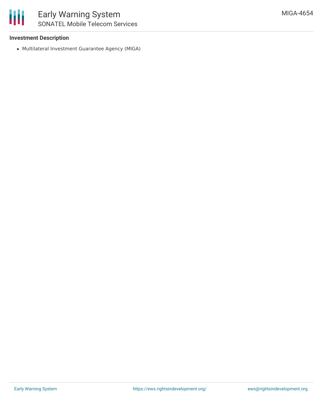

#### **Investment Description**

Multilateral Investment Guarantee Agency (MIGA)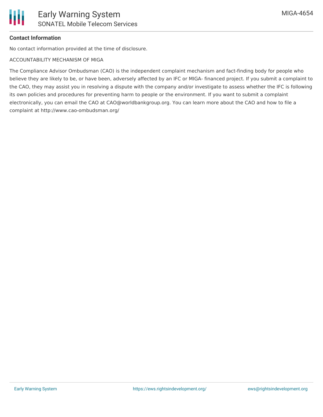# **Contact Information**

No contact information provided at the time of disclosure.

ACCOUNTABILITY MECHANISM OF MIGA

The Compliance Advisor Ombudsman (CAO) is the independent complaint mechanism and fact-finding body for people who believe they are likely to be, or have been, adversely affected by an IFC or MIGA- financed project. If you submit a complaint to the CAO, they may assist you in resolving a dispute with the company and/or investigate to assess whether the IFC is following its own policies and procedures for preventing harm to people or the environment. If you want to submit a complaint electronically, you can email the CAO at CAO@worldbankgroup.org. You can learn more about the CAO and how to file a complaint at http://www.cao-ombudsman.org/